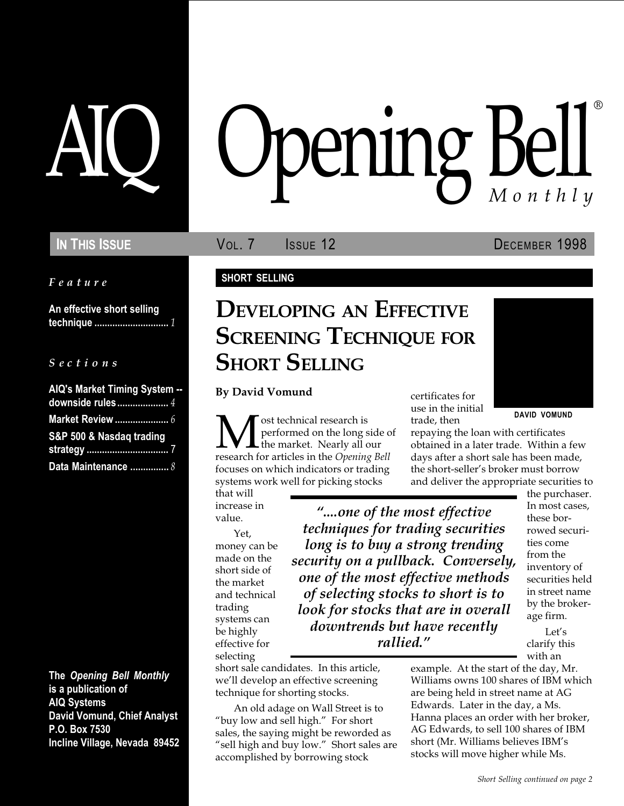Feature

An effective short selling technique ............................. 1

#### $S$  e c t i o n s

| AIQ's Market Timing System -- |  |
|-------------------------------|--|
| downside rules 4              |  |
|                               |  |
| S&P 500 & Nasdaq trading      |  |
|                               |  |
| Data Maintenance  8           |  |

The Opening Bell Monthly is a publication of AIQ Systems David Vomund, Chief Analyst P.O. Box 7530 Incline Village, Nevada 89452

# pening Bell ®

In This Issue **Vol. 7** Issue 12 DECEMBER 1998

#### SHORT SELLING

# DEVELOPING AN EFFECTIVE **SCREENING TECHNIQUE FOR SHORT SELLING**

By David Vomund

**EXECUTE THE TE THE TE THE SAVID VOMUND**<br>
Trade, then<br>
trade, then<br>
trade, then<br>
repaying the loan with certificates<br>
the market. Nearly all our<br>
research for articles in the *Opening Bell*<br>
days after a short sale has bee performed on the long side of the market. Nearly all our research for articles in the Opening Bell focuses on which indicators or trading systems work well for picking stocks

that will increase in value.

Yet, money can be made on the short side of the market and technical trading systems can be highly effective for selecting

....one of the most effective techniques for trading securities long is to buy a strong trending security on a pullback. Conversely, one of the most effective methods of selecting stocks to short is to look for stocks that are in overall downtrends but have recently rallied.

short sale candidates. In this article, we'll develop an effective screening technique for shorting stocks.

An old adage on Wall Street is to "buy low and sell high." For short sales, the saying might be reworded as "sell high and buy low." Short sales are accomplished by borrowing stock

certificates for use in the initial trade, then

repaying the loan with certificates obtained in a later trade. Within a few days after a short sale has been made, the short-seller's broker must borrow and deliver the appropriate securities to

> In most cases, these borrowed securities come from the

inventory of securities held in street name by the brokerage firm.

the purchaser.

Let's clarify this with an

example. At the start of the day, Mr. Williams owns 100 shares of IBM which are being held in street name at AG Edwards. Later in the day, a Ms. Hanna places an order with her broker, AG Edwards, to sell 100 shares of IBM short (Mr. Williams believes IBM's stocks will move higher while Ms.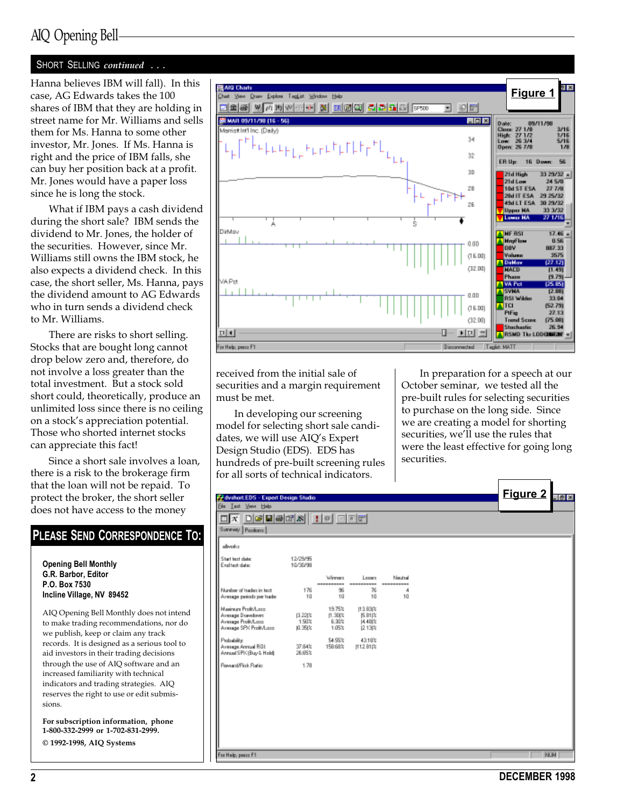## AIQ Opening Bell

#### SHORT SELLING continued ...

shares of IBM that they are holding in street name for Mr. Williams and sells them for Ms. Hanna to some other investor, Mr. Jones. If Ms. Hanna is right and the price of IBM falls, she can buy her position back at a profit. Mr. Jones would have a paper loss since he is long the stock.

What if IBM pays a cash dividend during the short sale? IBM sends the dividend to Mr. Jones, the holder of the securities. However, since Mr. Williams still owns the IBM stock, he also expects a dividend check. In this case, the short seller, Ms. Hanna, pays the dividend amount to AG Edwards who in turn sends a dividend check to Mr. Williams.

There are risks to short selling. Stocks that are bought long cannot drop below zero and, therefore, do not involve a loss greater than the total investment. But a stock sold short could, theoretically, produce an unlimited loss since there is no ceiling on a stock's appreciation potential. Those who shorted internet stocks can appreciate this fact!

Since a short sale involves a loan, there is a risk to the brokerage firm that the loan will not be repaid. To protect the broker, the short seller does not have access to the money

#### PLEASE SEND CORRESPONDENCE TO: Opening Bell Monthly G.R. Barbor, Editor P.O. Box 7530 Incline Village, NV 89452 AIQ Opening Bell Monthly does not intend to make trading recommendations, nor do we publish, keep or claim any track records. It is designed as a serious tool to aid investors in their trading decisions through the use of AIQ software and an increased familiarity with technical indicators and trading strategies. AIQ reserves the right to use or edit submissions.

For subscription information, phone 1-800-332-2999 or 1-702-831-2999.

© 1992-1998, AIQ Systems



received from the initial sale of securities and a margin requirement must be met.

In developing our screening model for selecting short sale candidates, we will use AIO's Expert Design Studio (EDS). EDS has hundreds of pre-built screening rules for all sorts of technical indicators.

In preparation for a speech at our October seminar, we tested all the pre-built rules for selecting securities to purchase on the long side. Since we are creating a model for shorting securities, we'll use the rules that were the least effective for going long securities.

| CyclontEDS - Expert Design Studio                                                        |                           |                                        |                                                |                                  |  | <b>Figure 2</b> | $\vert \theta \vert \times$ |
|------------------------------------------------------------------------------------------|---------------------------|----------------------------------------|------------------------------------------------|----------------------------------|--|-----------------|-----------------------------|
| <b>Ele Lest View Help</b><br>Summary Pasitions                                           |                           |                                        |                                                |                                  |  |                 |                             |
| aliverka                                                                                 |                           |                                        |                                                |                                  |  |                 |                             |
| Start text date:<br>End test date:                                                       | 12/29/95<br>10/30/98      |                                        |                                                |                                  |  |                 |                             |
| Number of tradez in text.<br>Average periods per trade:                                  | 176<br>10                 | Winners<br>----------<br>96<br>10      | Losers.<br>----------<br>76<br>10              | Neutral<br>----------<br>4<br>10 |  |                 |                             |
| Mainun ProBA are<br>Average Drawdown:<br>Average Profit/Lass<br>Average SPX Profit/Lass: | 13.221%<br>1.50%<br>0.35は | 19.75%<br>$[1.30]$ %<br>6.30%<br>1.05% | 113, 83 (%)<br>医跗沟<br><b>14.4BI%</b><br>2.13 % |                                  |  |                 |                             |
| Probability:<br>Average Annual ROE<br>Annual SPK (Buy & Hold):                           | 37.84%<br>26.65%          | 54.95%<br>158.68%                      | 43.18%<br> 112 B1 %                            |                                  |  |                 |                             |
| Reward/Fisk Ratio:                                                                       | 1.78                      |                                        |                                                |                                  |  |                 |                             |
|                                                                                          |                           |                                        |                                                |                                  |  |                 |                             |
|                                                                                          |                           |                                        |                                                |                                  |  |                 |                             |
|                                                                                          |                           |                                        |                                                |                                  |  |                 |                             |
| For Help, peace F1                                                                       |                           |                                        |                                                |                                  |  |                 | <b>NUM</b>                  |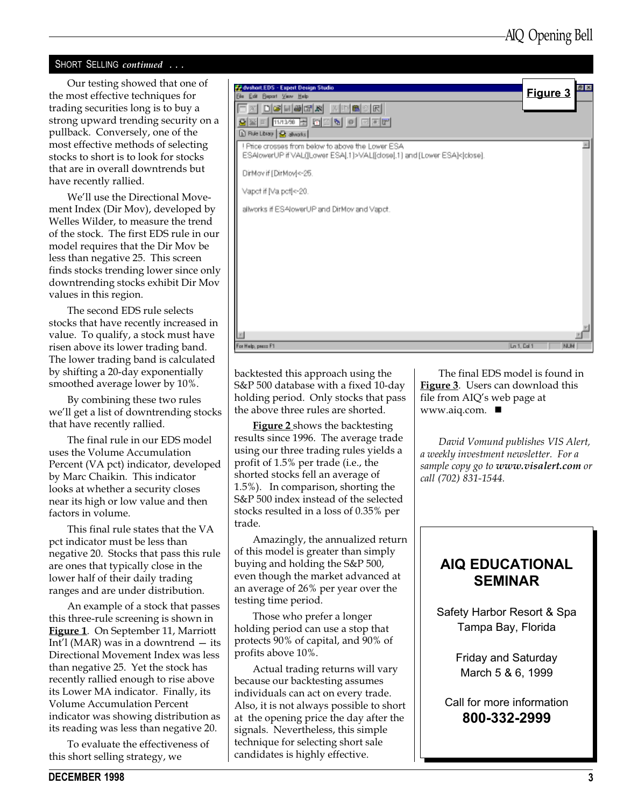#### SHORT SELLING continued ...

the most effective techniques for trading securities long is to buy a strong upward trending security on a pullback. Conversely, one of the most effective methods of selecting stocks to short is to look for stocks that are in overall downtrends but have recently rallied.

We'll use the Directional Movement Index (Dir Mov), developed by Welles Wilder, to measure the trend of the stock. The first EDS rule in our model requires that the Dir Mov be less than negative 25. This screen finds stocks trending lower since only downtrending stocks exhibit Dir Mov values in this region.

The second EDS rule selects stocks that have recently increased in value. To qualify, a stock must have risen above its lower trading band. The lower trading band is calculated by shifting a 20-day exponentially smoothed average lower by 10%.

By combining these two rules we'll get a list of downtrending stocks that have recently rallied.

The final rule in our EDS model uses the Volume Accumulation Percent (VA pct) indicator, developed by Marc Chaikin. This indicator looks at whether a security closes near its high or low value and then factors in volume.

This final rule states that the VA pct indicator must be less than negative 20. Stocks that pass this rule are ones that typically close in the lower half of their daily trading ranges and are under distribution.

An example of a stock that passes this three-rule screening is shown in Figure 1. On September 11, Marriott Int'l (MAR) was in a downtrend  $-$  its Directional Movement Index was less than negative 25. Yet the stock has recently rallied enough to rise above its Lower MA indicator. Finally, its Volume Accumulation Percent indicator was showing distribution as its reading was less than negative 20.

To evaluate the effectiveness of this short selling strategy, we



backtested this approach using the S&P 500 database with a fixed 10-day holding period. Only stocks that pass the above three rules are shorted.

Figure 2 shows the backtesting results since 1996. The average trade using our three trading rules yields a profit of 1.5% per trade (i.e., the shorted stocks fell an average of 1.5%). In comparison, shorting the S&P 500 index instead of the selected stocks resulted in a loss of 0.35% per trade.

Amazingly, the annualized return of this model is greater than simply buying and holding the S&P 500, even though the market advanced at an average of 26% per year over the testing time period.

Those who prefer a longer holding period can use a stop that protects 90% of capital, and 90% of profits above 10%.

Actual trading returns will vary because our backtesting assumes individuals can act on every trade. Also, it is not always possible to short at the opening price the day after the signals. Nevertheless, this simple technique for selecting short sale candidates is highly effective.

The final EDS model is found in **Figure 3.** Users can download this file from AIQ's web page at www.aiq.com.  $\blacksquare$ 

David Vomund publishes VIS Alert, a weekly investment newsletter. For a sample copy go to www.visalert.com or call (702) 831-1544.

## AIQ EDUCATIONAL SEMINAR

Safety Harbor Resort & Spa Tampa Bay, Florida

> Friday and Saturday March 5 & 6, 1999

Call for more information 800-332-2999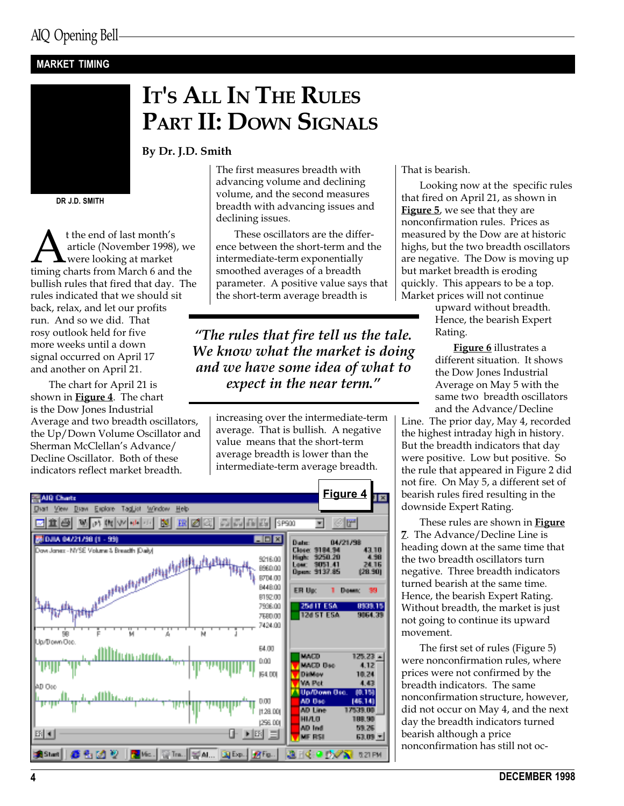#### MARKET TIMING



IT'S ALL IN THE RULES PART II: DOWN SIGNALS

By Dr. J.D. Smith

DR J.D. SMITH

**A** t the end of last month's<br>article (November 1998), we<br>timing charts from March 6 and the article (November 1998), we were looking at market bullish rules that fired that day. The rules indicated that we should sit back, relax, and let our profits run. And so we did. That rosy outlook held for five more weeks until a down signal occurred on April 17 and another on April 21.

The chart for April 21 is shown in Figure 4. The chart is the Dow Jones Industrial Average and two breadth oscillators, the Up/Down Volume Oscillator and Sherman McClellan's Advance/ Decline Oscillator. Both of these indicators reflect market breadth.

The first measures breadth with advancing volume and declining volume, and the second measures breadth with advancing issues and declining issues.

These oscillators are the difference between the short-term and the intermediate-term exponentially smoothed averages of a breadth parameter. A positive value says that the short-term average breadth is

The rules that fire tell us the tale. We know what the market is doing and we have some idea of what to expect in the near term."

> increasing over the intermediate-term average. That is bullish. A negative value means that the short-term average breadth is lower than the intermediate-term average breadth.



That is bearish.

Looking now at the specific rules that fired on April 21, as shown in **Figure 5**, we see that they are nonconfirmation rules. Prices as measured by the Dow are at historic highs, but the two breadth oscillators are negative. The Dow is moving up but market breadth is eroding quickly. This appears to be a top. Market prices will not continue

> upward without breadth. Hence, the bearish Expert Rating.

Figure 6 illustrates a different situation. It shows the Dow Jones Industrial Average on May 5 with the same two breadth oscillators and the Advance/Decline

Line. The prior day, May 4, recorded the highest intraday high in history. But the breadth indicators that day were positive. Low but positive. So the rule that appeared in Figure 2 did not fire. On May 5, a different set of bearish rules fired resulting in the downside Expert Rating.

These rules are shown in **Figure** 7. The Advance/Decline Line is heading down at the same time that the two breadth oscillators turn negative. Three breadth indicators turned bearish at the same time. Hence, the bearish Expert Rating. Without breadth, the market is just not going to continue its upward movement.

The first set of rules (Figure 5) were nonconfirmation rules, where prices were not confirmed by the breadth indicators. The same nonconfirmation structure, however, did not occur on May 4, and the next day the breadth indicators turned bearish although a price nonconfirmation has still not oc-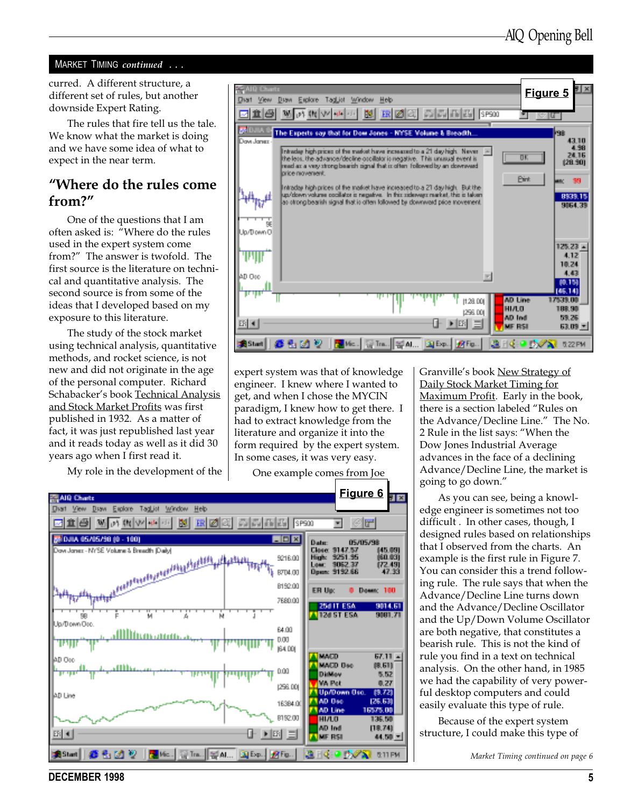#### MARKET TIMING continued ...

curred. A different structure, a different set of rules, but another downside Expert Rating.

The rules that fire tell us the tale. We know what the market is doing and we have some idea of what to expect in the near term.

### Where do the rules come from?

One of the questions that I am often asked is: Where do the rules used in the expert system come from?" The answer is twofold. The first source is the literature on technical and quantitative analysis. The second source is from some of the ideas that I developed based on my exposure to this literature.

The study of the stock market using technical analysis, quantitative methods, and rocket science, is not new and did not originate in the age of the personal computer. Richard Schabacker's book Technical Analysis and Stock Market Profits was first published in 1932. As a matter of fact, it was just republished last year and it reads today as well as it did 30 years ago when I first read it.

My role in the development of the



expert system was that of knowledge engineer. I knew where I wanted to get, and when I chose the MYCIN paradigm, I knew how to get there. I had to extract knowledge from the literature and organize it into the form required by the expert system. In some cases, it was very easy.

One example comes from Joe



Granville's book New Strategy of Daily Stock Market Timing for Maximum Profit. Early in the book, there is a section labeled "Rules on the Advance/Decline Line." The No. 2 Rule in the list says: When the Dow Jones Industrial Average advances in the face of a declining Advance/Decline Line, the market is going to go down.

As you can see, being a knowledge engineer is sometimes not too difficult . In other cases, though, I designed rules based on relationships that I observed from the charts. An example is the first rule in Figure 7. You can consider this a trend following rule. The rule says that when the Advance/Decline Line turns down and the Advance/Decline Oscillator and the Up/Down Volume Oscillator are both negative, that constitutes a bearish rule. This is not the kind of rule you find in a text on technical analysis. On the other hand, in 1985 we had the capability of very powerful desktop computers and could easily evaluate this type of rule.

Because of the expert system structure, I could make this type of

Market Timing continued on page 6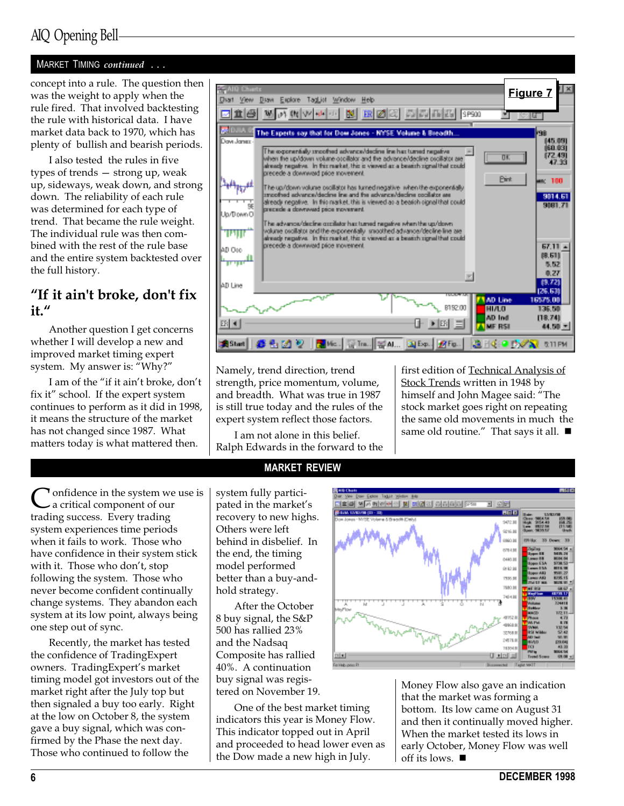#### MARKET TIMING continued ...

concept into a rule. The question then was the weight to apply when the rule fired. That involved backtesting the rule with historical data. I have market data back to 1970, which has plenty of bullish and bearish periods.

I also tested the rules in five types of trends - strong up, weak up, sideways, weak down, and strong down. The reliability of each rule was determined for each type of trend. That became the rule weight. The individual rule was then combined with the rest of the rule base and the entire system backtested over the full history.

## "If it ain't broke, don't fix it.

Another question I get concerns whether I will develop a new and improved market timing expert system. My answer is: Why?

I am of the "if it ain't broke, don't fix it" school. If the expert system continues to perform as it did in 1998, it means the structure of the market has not changed since 1987. What matters today is what mattered then.

In onfidence in the system we use is a critical component of our trading success. Every trading system experiences time periods when it fails to work. Those who have confidence in their system stick with it. Those who don't, stop following the system. Those who never become confident continually change systems. They abandon each system at its low point, always being one step out of sync.

Recently, the market has tested the confidence of TradingExpert owners. TradingExpert's market timing model got investors out of the market right after the July top but then signaled a buy too early. Right at the low on October 8, the system gave a buy signal, which was confirmed by the Phase the next day. Those who continued to follow the



Namely, trend direction, trend strength, price momentum, volume, and breadth. What was true in 1987 is still true today and the rules of the expert system reflect those factors.

I am not alone in this belief. Ralph Edwards in the forward to the first edition of Technical Analysis of Stock Trends written in 1948 by himself and John Magee said: "The stock market goes right on repeating the same old movements in much the same old routine." That says it all.  $\blacksquare$ 

#### MARKET REVIEW

system fully participated in the market's recovery to new highs. Others were left behind in disbelief. In the end, the timing model performed better than a buy-andhold strategy.

After the October 8 buy signal, the S&P 500 has rallied 23% and the Nadsaq Composite has rallied 40%. A continuation buy signal was registered on November 19.

One of the best market timing indicators this year is Money Flow. This indicator topped out in April and proceeded to head lower even as the Dow made a new high in July.



Money Flow also gave an indication that the market was forming a bottom. Its low came on August 31 and then it continually moved higher. When the market tested its lows in early October, Money Flow was well off its lows.  $\blacksquare$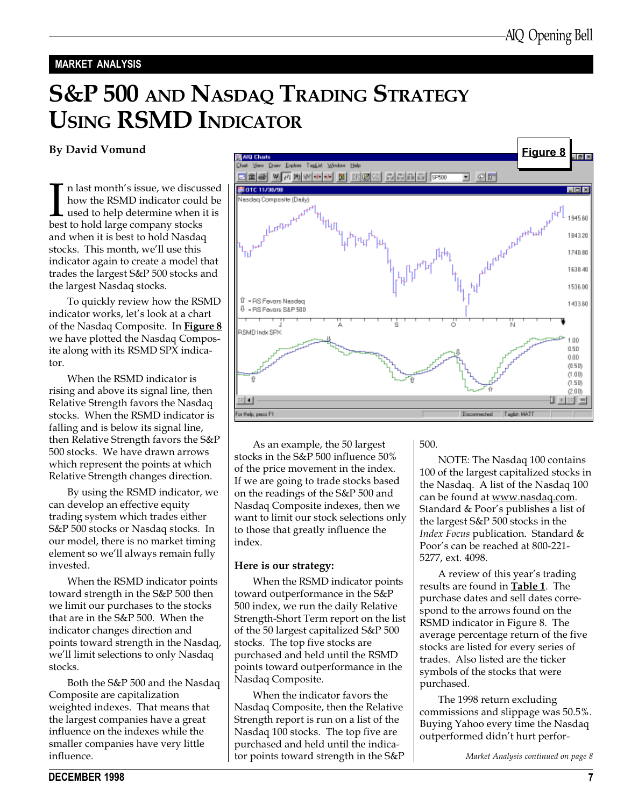#### MARKET ANALYSIS

# S&P 500 AND NASDAQ TRADING STRATEGY USING RSMD INDICATOR

In last month's issue, we discussion bow the RSMD indicator coul<br>used to help determine when<br>best to hold large company stocks n last month's issue, we discussed how the RSMD indicator could be used to help determine when it is and when it is best to hold Nasdaq stocks. This month, we'll use this indicator again to create a model that trades the largest S&P 500 stocks and the largest Nasdaq stocks.

To quickly review how the RSMD indicator works, let's look at a chart of the Nasdaq Composite. In Figure 8 we have plotted the Nasdaq Composite along with its RSMD SPX indicator.

When the RSMD indicator is rising and above its signal line, then Relative Strength favors the Nasdaq stocks. When the RSMD indicator is falling and is below its signal line, then Relative Strength favors the S&P 500 stocks. We have drawn arrows which represent the points at which Relative Strength changes direction.

By using the RSMD indicator, we can develop an effective equity trading system which trades either S&P 500 stocks or Nasdaq stocks. In our model, there is no market timing element so we'll always remain fully invested.

When the RSMD indicator points toward strength in the S&P 500 then we limit our purchases to the stocks that are in the S&P 500. When the indicator changes direction and points toward strength in the Nasdaq, we'll limit selections to only Nasdaq stocks.

Both the S&P 500 and the Nasdaq Composite are capitalization weighted indexes. That means that the largest companies have a great influence on the indexes while the smaller companies have very little influence.



As an example, the 50 largest stocks in the S&P 500 influence 50% of the price movement in the index. If we are going to trade stocks based on the readings of the S&P 500 and Nasdaq Composite indexes, then we want to limit our stock selections only to those that greatly influence the index.

#### Here is our strategy:

When the RSMD indicator points toward outperformance in the S&P 500 index, we run the daily Relative Strength-Short Term report on the list of the 50 largest capitalized S&P 500 stocks. The top five stocks are purchased and held until the RSMD points toward outperformance in the Nasdaq Composite.

When the indicator favors the Nasdaq Composite, then the Relative Strength report is run on a list of the Nasdaq 100 stocks. The top five are purchased and held until the indicator points toward strength in the S&P 500.

NOTE: The Nasdaq 100 contains 100 of the largest capitalized stocks in the Nasdaq. A list of the Nasdaq 100 can be found at www.nasdaq.com. Standard & Poor's publishes a list of the largest S&P 500 stocks in the Index Focus publication. Standard & Poor's can be reached at 800-221-5277, ext. 4098.

A review of this year's trading results are found in **Table 1**. The purchase dates and sell dates correspond to the arrows found on the RSMD indicator in Figure 8. The average percentage return of the five stocks are listed for every series of trades. Also listed are the ticker symbols of the stocks that were purchased.

The 1998 return excluding commissions and slippage was 50.5%. Buying Yahoo every time the Nasdaq outperformed didn't hurt perfor-

Market Analysis continued on page 8